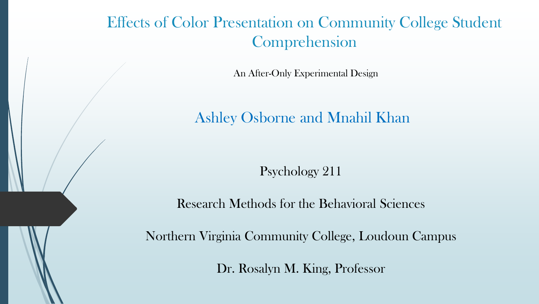#### Effects of Color Presentation on Community College Student Comprehension

An After-Only Experimental Design

Ashley Osborne and Mnahil Khan

Psychology 211

Research Methods for the Behavioral Sciences

Northern Virginia Community College, Loudoun Campus

Dr. Rosalyn M. King, Professor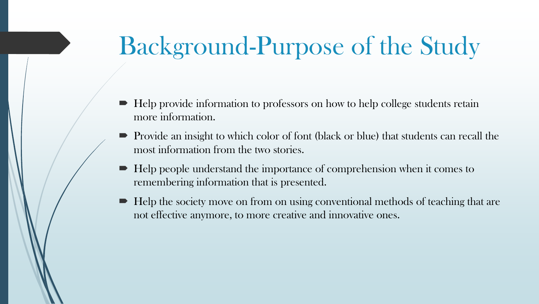# Background-Purpose of the Study

- $\blacksquare$  Help provide information to professors on how to help college students retain more information.
- Provide an insight to which color of font (black or blue) that students can recall the most information from the two stories.
- $\blacksquare$  Help people understand the importance of comprehension when it comes to remembering information that is presented.
- $\blacktriangleright$  Help the society move on from on using conventional methods of teaching that are not effective anymore, to more creative and innovative ones.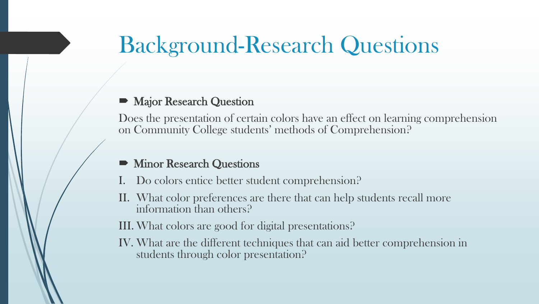## Background-Research Questions

#### Major Research Question

Does the presentation of certain colors have an effect on learning comprehension on Community College students' methods of Comprehension?

- Minor Research Questions
- Do colors entice better student comprehension?
- II. What color preferences are there that can help students recall more information than others?

III. What colors are good for digital presentations?

IV. What are the different techniques that can aid better comprehension in students through color presentation?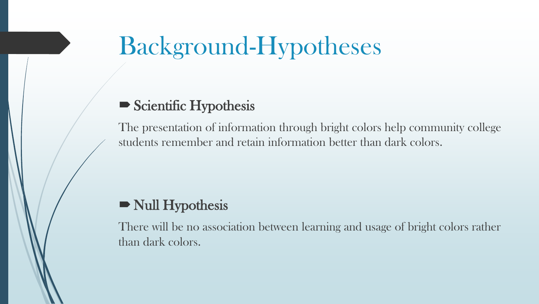# Background-Hypotheses

#### Scientific Hypothesis

The presentation of information through bright colors help community college students remember and retain information better than dark colors.

#### Null Hypothesis

There will be no association between learning and usage of bright colors rather than dark colors.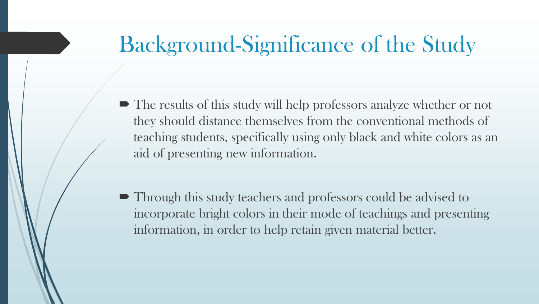## Background-Significance of the Study

- $\blacksquare$  The results of this study will help professors analyze whether or not they should distance themselves from the conventional methods of teaching students, specifically using only black and white colors as an aid of presenting new information.
- Through this study teachers and professors could be advised to incorporate bright colors in their mode of teachings and presenting information, in order to help retain given material better.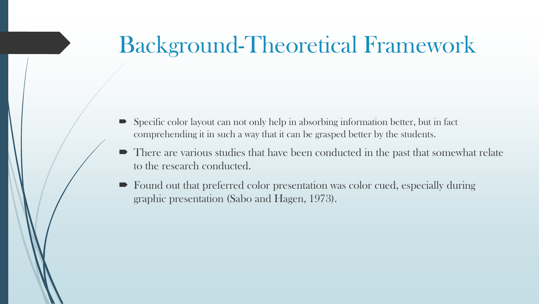## Background-Theoretical Framework

- Specific color layout can not only help in absorbing information better, but in fact comprehending it in such a way that it can be grasped better by the students.
- $\blacksquare$  There are various studies that have been conducted in the past that somewhat relate to the research conducted.
- Found out that preferred color presentation was color cued, especially during graphic presentation (Sabo and Hagen, 1973).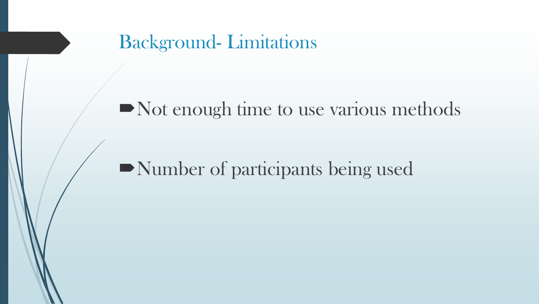Background- Limitations

### Not enough time to use various methods

## Number of participants being used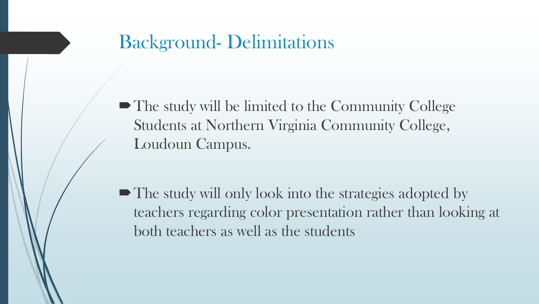### Background- Delimitations

• The study will be limited to the Community College Students at Northern Virginia Community College, Loudoun Campus.

• The study will only look into the strategies adopted by teachers regarding color presentation rather than looking at both teachers as well as the students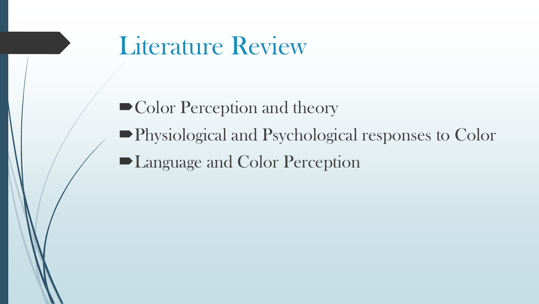# Literature Review

 $\blacktriangleright$  Color Perception and theory

- Physiological and Psychological responses to Color
- Language and Color Perception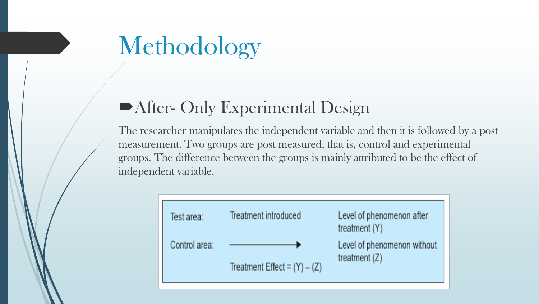# Methodology

#### After- Only Experimental Design

The researcher manipulates the independent variable and then it is followed by a post measurement. Two groups are post measured, that is, control and experimental groups. The difference between the groups is mainly attributed to be the effect of independent variable.

| Test area:    | Treatment introduced           | Level of phenomenon after<br>treatment (Y) |
|---------------|--------------------------------|--------------------------------------------|
| Control area: |                                | Level of phenomenon without                |
|               | Treatment Effect = $(Y) - (Z)$ | treatment $(Z)$                            |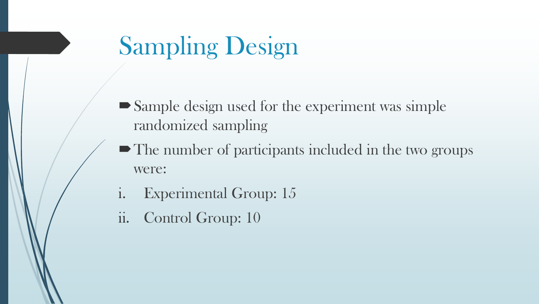# Sampling Design

- Sample design used for the experiment was simple randomized sampling
- The number of participants included in the two groups were:
- i. Experimental Group: 15
- ii. Control Group: 10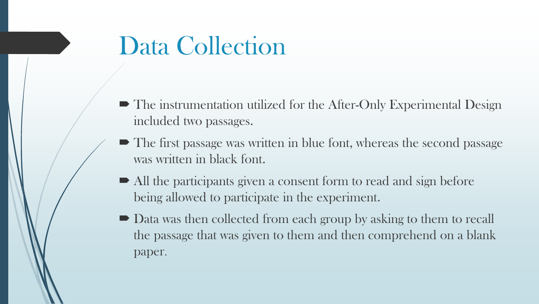# Data Collection

- The instrumentation utilized for the After-Only Experimental Design included two passages.
- The first passage was written in blue font, whereas the second passage was written in black font.
- All the participants given a consent form to read and sign before being allowed to participate in the experiment.
- Data was then collected from each group by asking to them to recall the passage that was given to them and then comprehend on a blank paper.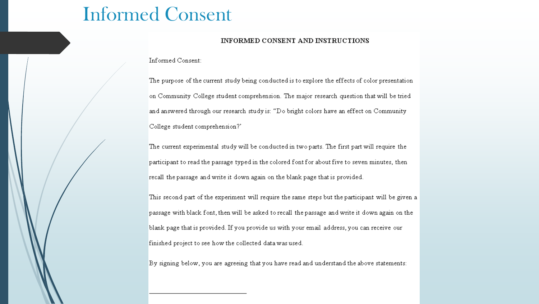#### Informed Consent

#### INFORMED CONSENT AND INSTRUCTIONS

Informed Consent:

The purpose of the current study being conducted is to explore the effects of color presentation on Community College student comprehension. The major research question that will be tried and answered through our research study is: "Do bright colors have an effect on Community College student comprehension?'

The current experimental study will be conducted in two parts. The first part will require the participant to read the passage typed in the colored font for about five to seven minutes, then recall the passage and write it down again on the blank page that is provided.

This second part of the experiment will require the same steps but the participant will be given a passage with black font, then will be asked to recall the passage and write it down again on the blank page that is provided. If you provide us with your email address, you can receive our finished project to see how the collected data was used.

By signing below, you are agreeing that you have read and understand the above statements: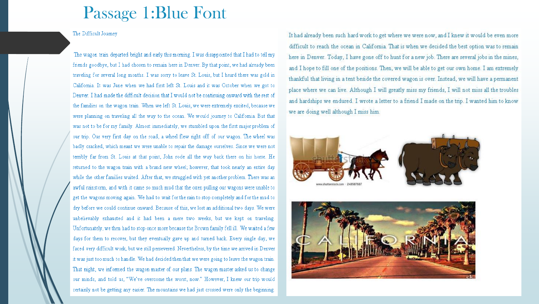#### Passage 1:Blue Font

#### The Difficult Journey

The wagon train departed bright and early this morning. I was disappointed that I had to tell my friends goodbye, but I had chosen to remain here in Denver. By that point, we had already been traveling for several long months. I was sorry to leave St. Louis, but I heard there was gold in California. It was June when we had first left St. Louis and it was October when we got to Denver. I had made the difficult decision that I would not be continuing onward with the rest of the families on the wagon train. When we left St. Louis, we were extremely excited, because we were planning on traveling all the way to the ocean. We would journey to California. But that was not to be for my family. Almost immediately, we stumbled upon the first major problem of our trip. Our very first day on the road, a wheel flew right off of our wagon. The wheel was badly cracked, which meant we were unable to repair the damage ourselves. Since we were not terribly far from St. Louis at that point, John rode all the way back there on his horse. He returned to the wagon train with a brand new wheel; however, that took nearly an entire day while the other families waited. After that, we struggled with yet another problem. There was an awful rainstorm, and with it came so much mud that the oxen pulling our wagons were unable to get the wagons moving again. We had to wait for the rain to stop completely and for the mud to dry before we could continue onward. Because of this, we lost an additional two days. We were unbelievably exhausted and it had been a mere two weeks, but we kept on traveling. Unfortunately, we then had to stop once more because the Brown family fell ill. We waited a few days for them to recover, but they eventually gave up and turned back. Every single day, we faced very difficult work, but we still persevered. Nevertheless, by the time we arrived in Denver it was just too much to handle. We had decided then that we were going to leave the wagon train. That night, we informed the wagon master of our plans. The wagon master asked us to change our minds, and told us, "We've overcome the worst, now." However, I knew our trip would certainly not be getting any easier. The mountains we had just crossed were only the beginning.

It had already been such hard work to get where we were now, and I knew it would be even more difficult to reach the ocean in California. That is when we decided the best option was to remain here in Denver. Today, I have gone off to hunt for a new job. There are several jobs in the mines, and I hope to fill one of the positions. Then, we will be able to get our own home. I am extremely thankful that living in a tent beside the covered wagon is over. Instead, we will have a permanent place where we can live. Although I will greatly miss my friends, I will not miss all the troubles and hardships we endured. I wrote a letter to a friend I made on the trip. I wanted him to know we are doing well although I miss him.



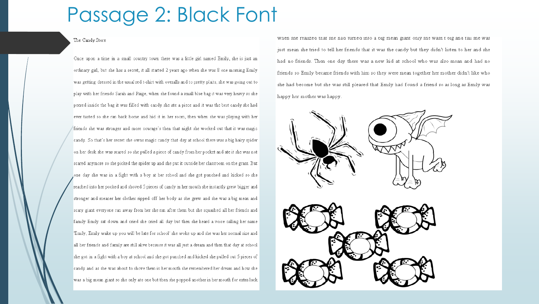## Passage 2: Black Font

#### The Candy Store

Once upon a time in a small country town there was a little girl named Emily, she is just an ordinary girl, but she has a secret, it all started 2 years ago when she was 8 one morning Emily was getting dressed in the usual red t-shirt with overalls and to pretty plaits, she was going out to play with her friends Sarah and Paige, when she found a small blue bag it was very heavy so she peered inside the bag it was filled with candy she ate a piece and it was the best candy she had ever tasted so she ran back home and hid it in her room, then when she was playing with her friends she was stronger and more courage's then that night she worked out that it was magic candy. So that's her secret she owns magic candy that day at school there was a big hairy spider on her desk she was scared so she pulled a piece of candy from her pocket and ate it she was not scared anymore so she picked the spider up and she put it outside her classroom on the grass. But one day she was in a fight with a boy at her school and she got punched and kicked so she reached into her pocked and shoved 5 pieces of candy in her mouth she instantly grew bigger and stronger and meaner her clothes ripped off her body as she grew and she was a big mean and scary giant everyone ran away from her she ran after them but she squashed all her friends and family Emily sat down and cried she cried all day but then she heard a voice calling her name Emily, Emily wake up you will be late for school' she woke up and she was her normal size and all her friends and family are still alive because it was all just a dream and then that day at school she got in a fight with a boy at school and she got punched and kicked she pulled out 5 pieces of candy and as she was about to shove them in her mouth she remembered her dream and how she was a big mean giant so she only ate one but then she popped another in her mouth for extra luck

when she realized that she had turned into a big mean giant only she wash t big and tail she was just mean she tried to tell her friends that it was the candy but they didn't listen to her and she had no friends. Then one day there was a new kid at school who was also mean and had no friends so Emily became friends with him so they were mean together her mother didn't like who she had become but she was still pleased that Emily had found a friend so as long as Emily was happy her mother was happy.

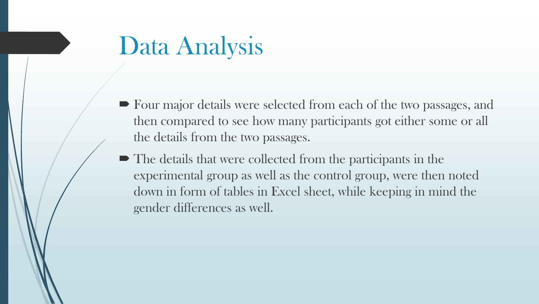# Data Analysis

- Four major details were selected from each of the two passages, and then compared to see how many participants got either some or all the details from the two passages.
- $\blacksquare$  The details that were collected from the participants in the experimental group as well as the control group, were then noted down in form of tables in Excel sheet, while keeping in mind the gender differences as well.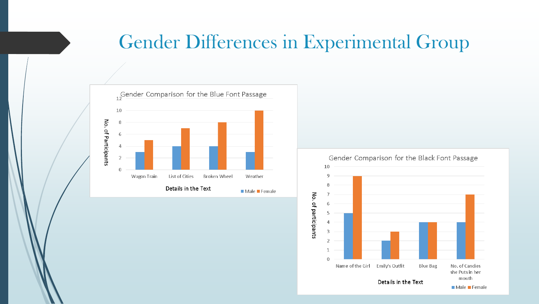## Gender Differences in Experimental Group



Gender Comparison for the Black Font Passage

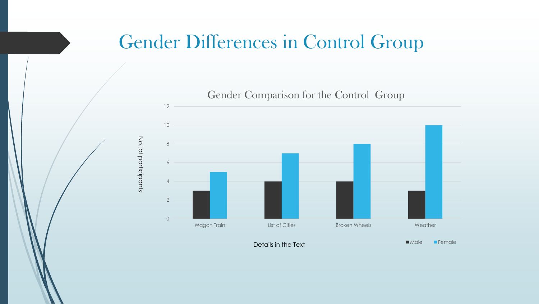## Gender Differences in Control Group



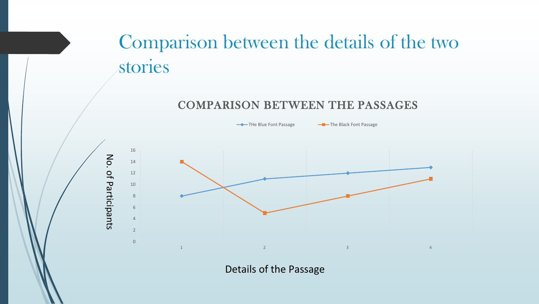## Comparison between the details of the two stories

#### COMPARISON BETWEEN THE PASSAGES



Details of the Passage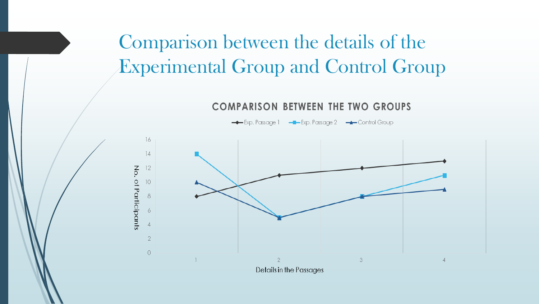## Comparison between the details of the Experimental Group and Control Group

**COMPARISON BETWEEN THE TWO GROUPS** 

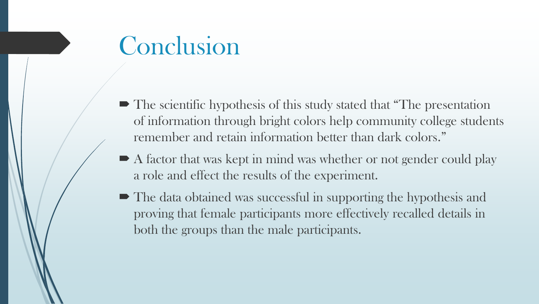# Conclusion

- The scientific hypothesis of this study stated that "The presentation" of information through bright colors help community college students remember and retain information better than dark colors."
- A factor that was kept in mind was whether or not gender could play a role and effect the results of the experiment.
- $\blacksquare$  The data obtained was successful in supporting the hypothesis and proving that female participants more effectively recalled details in both the groups than the male participants.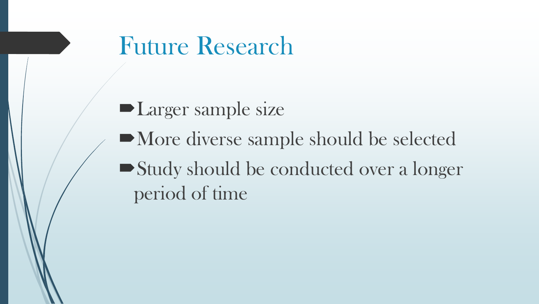## Future Research

**Larger sample size** More diverse sample should be selected Study should be conducted over a longer period of time